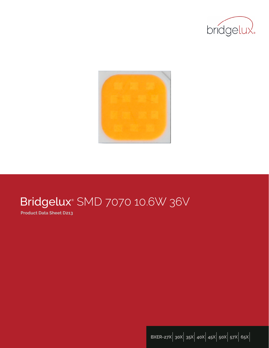



# Bridgelux® SMD 7070 10.6W 36V

**Product Data Sheet D213**

**BXER-27X**| **30X**| **35X**| **40X**| **45X**| **50X**| **57X**| **65X**|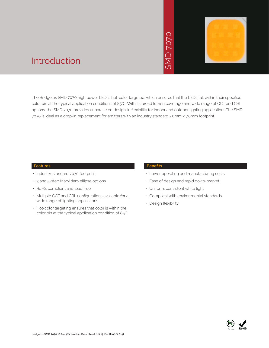# SMD 7070



## Introduction

The Bridgelux SMD 7070 high power LED is hot-color targeted, which ensures that the LEDs fall within their specified color bin at the typical application conditions of 85°C. With its broad lumen coverage and wide range of CCT and CRI options, the SMD 7070 provides unparalleled design-in flexibility for indoor and outdoor lighting applications.The SMD 7070 is ideal as a drop-in replacement for emitters with an industry standard 7.0mm x 7.0mm footprint. • Notich ensures that<br>
bad lumen coveragy<br>
for indoor and out<br>
stry standard 7.0mm<br>
Benefits<br>
• Lower operating<br>
• Ease of design a<br>
• Uniform, consiste<br>
• Compliant with e<br>
• Design flexibility

#### **Features**

- Industry-standard 7070 footprint
- 3 and 5-step MacAdam ellipse options
- RoHS compliant and lead free
- Multiple CCT and CRI configurations available for a wide range of lighting applications
- Hot-color targeting ensures that color is within the color bin at the typical application condition of 85C

#### **Benefits**

- Lower operating and manufacturing costs
- Ease of design and rapid go-to-market
- Uniform, consistent white light
- Compliant with environmental standards
- Design flexibility

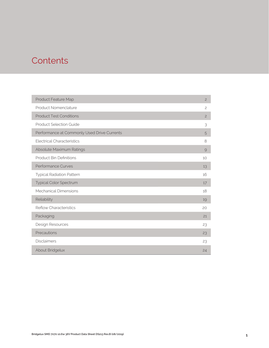## **Contents**

| Product Feature Map                         | $\overline{c}$ |
|---------------------------------------------|----------------|
| Product Nomenclature                        | $\mathbf{2}$   |
| <b>Product Test Conditions</b>              | $\overline{c}$ |
| <b>Product Selection Guide</b>              | 3              |
| Performance at Commonly Used Drive Currents | 5              |
| <b>Electrical Characteristics</b>           | 8              |
| Absolute Maximum Ratings                    | $\mathcal{Q}$  |
| <b>Product Bin Definitions</b>              | 10             |
| <b>Performance Curves</b>                   | 13             |
| <b>Typical Radiation Pattern</b>            | 16             |
| Typical Color Spectrum                      | 17             |
| <b>Mechanical Dimensions</b>                | 18             |
| Reliability                                 | 19             |
| <b>Reflow Characteristics</b>               | 20             |
| Packaging                                   | 21             |
| Design Resources                            | 23             |
| Precautions                                 | 23             |
| <b>Disclaimers</b>                          | 23             |
| About Bridgelux                             | 24             |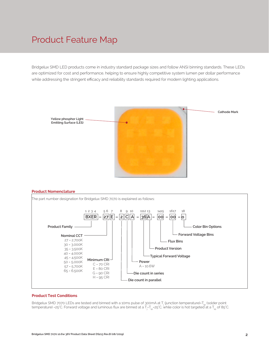## Product Feature Map

Bridgelux SMD LED products come in industry standard package sizes and follow ANSI binning standards. These LEDs are optimized for cost and performance, helping to ensure highly competitive system lumen per dollar performance while addressing the stringent efficacy and reliability standards required for modern lighting applications.



#### **Product Nomenclature**



#### **Product Test Conditions**

Bridgelux SMD 7070 LEDs are tested and binned with a 10ms pulse of 300mA at T<sub>j</sub> (junction temperature)-T<sub>sp</sub> (solder point temperature) =25°C. Forward voltage and luminous flux are binned at a T<sub>j=</sub>T<sub>sp</sub>=25°C, while color is hot targeted at a T<sub>sp</sub> of 85°C.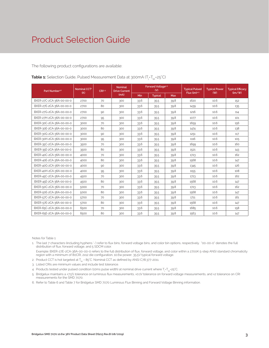The following product configurations are available:

| Part Number <sup>1,6</sup> | Nominal CCT <sup>2</sup> | CRI3.5 | <b>Nominal</b><br><b>Drive Current</b> |      | Forward Voltage <sup>4.5</sup><br>(V) |      | <b>Typical Pulsed</b> | <b>Typical Power</b> | <b>Typical Efficacy</b> |
|----------------------------|--------------------------|--------|----------------------------------------|------|---------------------------------------|------|-----------------------|----------------------|-------------------------|
|                            | (K)                      |        | (mA)                                   | Min  | <b>Typical</b>                        | Max  | Flux $(lm)^{4.5}$     | (W)                  | (lm/W)                  |
| BXER-27C-2CA-36A-00-00-0   | 2700                     | 70     | 300                                    | 33.6 | 35.5                                  | 39.8 | 1620                  | 10.6                 | 152                     |
| BXER-27E-2CA-36A-00-00-0   | 2700                     | 80     | 300                                    | 33.6 | 35.5                                  | 39.8 | 1439                  | 10.6                 | 135                     |
| BXER-27G-2CA-36A-00-00-0   | 2700                     | 90     | 300                                    | 33.6 | 35.5                                  | 39.8 | 1216                  | 10.6                 | 114                     |
| BXER-27H-2CA-36A-00-00-0   | 2700                     | 95     | 300                                    | 33.6 | 35.5                                  | 39.8 | 1077                  | 10.6                 | 101                     |
| BXER-30C-2CA-36A-00-00-0   | 3000                     | 70     | 300                                    | 33.6 | 35.5                                  | 39.8 | 1659                  | 10.6                 | 156                     |
| BXER-30E-2CA-36A-00-00-0   | 3000                     | 80     | 300                                    | 33.6 | 35.5                                  | 39.8 | 1474                  | 10.6                 | 138                     |
| BXER-30G-2CA-36A-00-00-0   | 3000                     | 90     | 300                                    | 33.6 | 35.5                                  | 39.8 | 1251                  | 10.6                 | 117                     |
| BXER-30H-2CA-36A-00-00-0   | 3000                     | 95     | 300                                    | 33.6 | 35.5                                  | 39.8 | 1116                  | 10.6                 | 105                     |
| BXER-35C-2CA-36A-00-00-0   | 3500                     | 70     | 300                                    | 33.6 | 35.5                                  | 39.8 | 1699                  | 10.6                 | 160                     |
| BXER-35E-2CA-36A-00-00-0   | 3500                     | 80     | 300                                    | 33.6 | 35.5                                  | 39.8 | 1521                  | 10.6                 | 143                     |
| BXER-40C-2CA-36A-00-00-0   | 4000                     | 70     | 300                                    | 33.6 | 35.5                                  | 39.8 | 1723                  | 10.6                 | 162                     |
| BXER-40E-2CA-36A-00-00-0   | 4000                     | 80     | 300                                    | 33.6 | 35.5                                  | 39.8 | 1568                  | 10.6                 | 147                     |
| BXER-40G-2CA-36A-00-00-0   | 4000                     | 90     | 300                                    | 33.6 | 35.5                                  | 39.8 | 1345                  | 10.6                 | 126                     |
| BXER-40H-2CA-36A-00-00-0   | 4000                     | 95     | 300                                    | 33.6 | 35.5                                  | 39.8 | 1155                  | 10.6                 | 108                     |
| BXER-45C-2CA-36A-00-00-0   | 4500                     | 70     | 300                                    | 33.6 | 35.5                                  | 39.8 | 1723                  | 10.6                 | 162                     |
| BXER-45E-2CA-36A-00-00-0   | 4500                     | 80     | 300                                    | 33.6 | 35.5                                  | 39.8 | 1568                  | 10.6                 | 147                     |
| BXER-50C-2CA-36A-00-00-0   | 5000                     | 70     | 300                                    | 33.6 | 35.5                                  | 39.8 | 1723                  | 10.6                 | 162                     |
| BXER-50E-2CA-36A-00-00-0   | 5000                     | 80     | 300                                    | 33.6 | 35.5                                  | 39.8 | 1568                  | 10.6                 | 147                     |
| BXER-57C-2CA-36A-00-00-0   | 5700                     | 70     | 300                                    | 33.6 | 35.5                                  | 39.8 | 1711                  | 10.6                 | 161                     |
| BXER-57E-2CA-36A-00-00-0   | 5700                     | 80     | 300                                    | 33.6 | 35.5                                  | 39.8 | 1568                  | 10.6                 | 147                     |
| BXER-65C-2CA-36A-00-00-0   | 6500                     | 70     | 300                                    | 33.6 | 35.5                                  | 39.8 | 1685                  | 10.6                 | 158                     |
| BXER-65E-2CA-36A-00-00-0   | 6500                     | 80     | 300                                    | 33.6 | 35.5                                  | 39.8 | 1563                  | 10.6                 | 147                     |

**Table 1:** Selection Guide, Pulsed Measurement Data at 300mA (T<sub>j</sub>=T<sub>sp</sub>=25°C)

Notes for Table 1:

1. The last 7 characters (including hyphens '-') refer to flux bins, forward voltage bins, and color bin options, respectively. "00-00-0" denotes the full distribution of flux, forward voltage, and 5 SDCM color.

 Example: BXER-27E-2CA-36A-00-00-0 refers to the full distribution of flux, forward voltage, and color within a 2700K 5-step ANSI standard chromaticity region with a minimum of 80CRI, 2x12 die configuration, 10.6w power, 35.5V typical forward voltage.

- 2. Product CCT is hot targeted at  $T_{es}$  = 85°C. Nominal CCT as defined by ANSI C78.377-2011.
- 3. Listed CRIs are minimum values and include test tolerance.
- 4. Products tested under pulsed condition (10ms pulse width) at nominal drive current where T<sub>i</sub>-T<sub>sp</sub>-25°C.
- 5. Bridgelux maintains a ±7.5% tolerance on luminous flux measurements, ±0.1V tolerance on forward voltage measurements, and ±2 tolerance on CRI measurements for the SMD 7070.
- 6. Refer to Table 6 and Table 7 for Bridgelux SMD 7070 Luminous Flux Binning and Forward Voltage Binning information.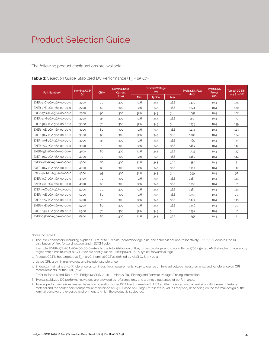The following product configurations are available:

|  | <b>Table 2:</b> Selection Guide, Stabilized DC Performance ( $T_{\rm SD}$ = 85°C) <sup>6.7</sup> |
|--|--------------------------------------------------------------------------------------------------|
|--|--------------------------------------------------------------------------------------------------|

| Part Number <sup>15</sup> | Nominal CCT <sup>2</sup><br>(K) | CRI34 | <b>Nominal Drive</b><br>Current |            | <b>Forward Voltage4</b><br>(V) |            | <b>Typical DC Flux</b><br>(lm) <sup>4</sup> | <b>Typical DC</b><br>Power | <b>Typical DC Effi-</b><br>cacy (lm/W) |
|---------------------------|---------------------------------|-------|---------------------------------|------------|--------------------------------|------------|---------------------------------------------|----------------------------|----------------------------------------|
|                           |                                 |       | (mA)                            | <b>Min</b> | <b>Typical</b>                 | <b>Max</b> |                                             | (W)                        |                                        |
| BXER-27C-2CA-36A-00-00-0  | 2700                            | 70    | 300                             | 32.6       | 34.5                           | 38.8       | 1400                                        | 10.4                       | 135                                    |
| BXER-27E-2CA-36A-00-00-0  | 2700                            | 80    | 300                             | 32.6       | 34.5                           | 38.8       | 1244                                        | 10.4                       | 120                                    |
| BXER-27G-2CA-36A-00-00-0  | 2700                            | 90    | 300                             | 32.6       | 34.5                           | 38.8       | 1051                                        | 10.4                       | 102                                    |
| BXER-27H-2CA-36A-00-00-0  | 2700                            | 95    | 300                             | 32.6       | 34.5                           | 38.8       | 931                                         | 10.4                       | 90                                     |
| BXER-30C-2CA-36A-00-00-0  | 3000                            | 70    | 300                             | 32.6       | 34.5                           | 38.8       | 1435                                        | 10.4                       | 139                                    |
| BXER-30E-2CA-36A-00-00-0  | 3000                            | 80    | 300                             | 32.6       | 34.5                           | 38.8       | 1274                                        | 10.4                       | 123                                    |
| BXER-30G-2CA-36A-00-00-0  | 3000                            | 90    | 300                             | 32.6       | 34.5                           | 38.8       | 1082                                        | 10.4                       | 104                                    |
| BXER-30H-2CA-36A-00-00-0  | 3000                            | 95    | 300                             | 32.6       | 34.5                           | 38.8       | 965                                         | 10.4                       | 93                                     |
| BXER-35C-2CA-36A-00-00-0  | 3500                            | 70    | 300                             | 32.6       | 34.5                           | 38.8       | 1469                                        | 10.4                       | 142                                    |
| BXER-35E-2CA-36A-00-00-0  | 3500                            | 80    | 300                             | 32.6       | 34.5                           | 38.8       | 1315                                        | 10.4                       | 127                                    |
| BXER-40C-2CA-36A-00-00-0  | 4000                            | 70    | 300                             | 32.6       | 34.5                           | 38.8       | 1489                                        | 10.4                       | 144                                    |
| BXER-40E-2CA-36A-00-00-0  | 4000                            | 80    | 300                             | 32.6       | 34.5                           | 38.8       | 1356                                        | 10.4                       | 131                                    |
| BXER-40G-2CA-36A-00-00-0  | 4000                            | 90    | 300                             | 32.6       | 34.5                           | 38.8       | 1163                                        | 10.4                       | 112                                    |
| BXER-40H-2CA-36A-00-00-0  | 4000                            | 95    | 300                             | 32.6       | 34.5                           | 38.8       | 999                                         | 10.4                       | 97                                     |
| BXER-45C-2CA-36A-00-00-0  | 4500                            | 70    | 300                             | 32.6       | 34.5                           | 38.8       | 1489                                        | 10.4                       | 144                                    |
| BXER-45E-2CA-36A-00-00-0  | 4500                            | 80    | 300                             | 32.6       | 34.5                           | 38.8       | 1355                                        | 10.4                       | 131                                    |
| BXER-50C-2CA-36A-00-00-0  | 5000                            | 70    | 300                             | 32.6       | 34.5                           | 38.8       | 1489                                        | 10.4                       | 144                                    |
| BXER-50E-2CA-36A-00-00-0  | 5000                            | 80    | 300                             | 32.6       | 34.5                           | 38.8       | 1355                                        | 10.4                       | 131                                    |
| BXER-57C-2CA-36A-00-00-0  | 5700                            | 70    | 300                             | 32.6       | 34.5                           | 38.8       | 1479                                        | 10.4                       | 143                                    |
| BXER-57E-2CA-36A-00-00-0  | 5700                            | 80    | 300                             | 32.6       | 34.5                           | 38.8       | 1356                                        | 10.4                       | 131                                    |
| BXER-65C-2CA-36A-00-00-0  | 6500                            | 70    | 300                             | 32.6       | 34.5                           | 38.8       | 1457                                        | 10.4                       | 141                                    |
| BXER-65E-2CA-36A-00-00-0  | 6500                            | 80    | 300                             | 32.6       | 34.5                           | 38.8       | 1351                                        | 10.4                       | 131                                    |

Notes for Table 2:

1. The last 7 characters (including hyphens '-') refer to flux bins, forward voltage bins, and color bin options, respectively. "00-00-0" denotes the full distribution of flux, forward voltage, and 5 SDCM color.

 Example: BXER-27E-2CA-36A-00-00-0 refers to the full distribution of flux, forward voltage, and color within a 2700K 5-step ANSI standard chromaticity region with a minimum of 80CRI, 2x12 die configuration, 10.6w power, 35.5V typical forward voltage.

- 2. Product CCT is hot targeted at  $T_{sp}$  = 85°C. Nominal CCT as defined by ANSI C78.377-2011.
- 3. Listed CRIs are minimum values and include test tolerance.
- 4. Bridgelux maintains a ±7.5% tolerance on luminous flux measurements, ±0.1V tolerance on forward voltage measurements, and ±2 tolerance on CRI measurements for the SMD 7070.
- 5. Refer to Table 6 and Table 7 for Bridgelux SMD 7070 Luminous Flux Binning and Forward Voltage Binning information.
- 6. Typical stabilized DC performance values are provided as reference only and are not a guarantee of performance.
- 7. Typical performance is estimated based on operation under DC (direct current) with LED emitter mounted onto a heat sink with thermal interface material and the solder point temperature maintained at 85°C. Based on Bridgelux test setup, values may vary depending on the thermal design of the luminaire and/or the exposed environment to which the product is subjected.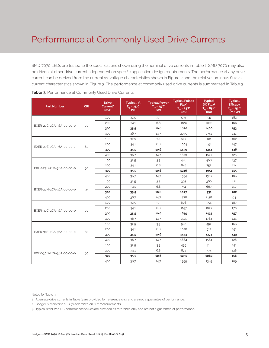## Performance at Commonly Used Drive Currents

SMD 7070 LEDs are tested to the specifications shown using the nominal drive currents in Table 1. SMD 7070 may also be driven at other drive currents dependent on specific application design requirements. The performance at any drive current can be derived from the current vs. voltage characteristics shown in Figure 2 and the relative luminous flux vs. current characteristics shown in Figure 3. The performance at commonly used drive currents is summarized in Table 3.

| <b>Part Number</b>       | <b>CRI</b> | <b>Drive</b><br>Current <sup>1</sup><br>(mA) | Typical V <sub>e</sub><br>$T_{\rm sp}$ = 25°C<br>$\mathbf{w}$ | <b>Typical Power</b><br>$\overline{T}_{\rm sp}$ = 25°C<br>(W) | <b>Typical Pulsed</b><br>Flux <sup>2</sup><br>$T_{sp} = 25^{\circ}C$<br>(lm) | <b>Typical</b><br>DC Flux <sup>3</sup><br>$T_{\rm SD} = 85^{\circ}C$<br>(lm) | <b>Typical</b><br><b>Efficacy</b><br>$T_{\text{cm}}$ = 25 <sup>°</sup> C<br>$\lim$ /w |
|--------------------------|------------|----------------------------------------------|---------------------------------------------------------------|---------------------------------------------------------------|------------------------------------------------------------------------------|------------------------------------------------------------------------------|---------------------------------------------------------------------------------------|
|                          |            | 100                                          | 32.5                                                          | 3.3                                                           | 594                                                                          | 541                                                                          | 182                                                                                   |
| BXER-27C-2CA-36A-00-00-0 | 70         | 200                                          | 34.1                                                          | 6.8                                                           | 1129                                                                         | 1002                                                                         | 166                                                                                   |
|                          |            | 300                                          | 35.5                                                          | 10.6                                                          | 1620                                                                         | 1400                                                                         | 153                                                                                   |
|                          |            | 400                                          | 36.7                                                          | 14.7                                                          | 2070                                                                         | 1741                                                                         | 141                                                                                   |
|                          |            | 100                                          | 32.5                                                          | 3.3                                                           | 527                                                                          | 481                                                                          | 162                                                                                   |
| BXER-27E-2CA-36A-00-00-0 | 80         | 200                                          | 34.1                                                          | 6.8                                                           | 1004                                                                         | 891                                                                          | 147                                                                                   |
|                          |            | 300                                          | 35.5                                                          | 10.6                                                          | 1439                                                                         | 1244                                                                         | 136                                                                                   |
|                          |            | 400                                          | 36.7                                                          | 14.7                                                          | 1839                                                                         | 1547                                                                         | 125                                                                                   |
|                          |            | 100                                          | 32.5                                                          | 3.3                                                           | 446                                                                          | 406                                                                          | 137                                                                                   |
| BXER-27G-2CA-36A-00-00-0 | 90         | 200                                          | 34.1                                                          | 6.8                                                           | 848                                                                          | 752                                                                          | 124                                                                                   |
|                          |            | 300                                          | 35.5                                                          | 10.6                                                          | 1216                                                                         | 1051                                                                         | 115                                                                                   |
|                          |            | 400                                          | 36.7                                                          | 14.7                                                          | 1554                                                                         | 1307                                                                         | 106                                                                                   |
|                          | 95         | 100                                          | 32.5                                                          | 3.3                                                           | 395                                                                          | 360                                                                          | 121                                                                                   |
|                          |            | 200                                          | 34.1                                                          | 6.8                                                           | 751                                                                          | 667                                                                          | 110                                                                                   |
| BXER-27H-2CA-36A-00-00-0 |            | 300                                          | 35.5                                                          | 10.6                                                          | 1077                                                                         | 931                                                                          | 102                                                                                   |
|                          |            | 400                                          | 36.7                                                          | 14.7                                                          | 1376                                                                         | 1158                                                                         | 94                                                                                    |
|                          |            | 100                                          | 32.5                                                          | 3.3                                                           | 608                                                                          | 554                                                                          | 187                                                                                   |
| BXER-30C-2CA-36A-00-00-0 |            | 200                                          | 34.1                                                          | 6.8                                                           | 1157                                                                         | 1027                                                                         | 170                                                                                   |
|                          | 70         | 300                                          | 35.5                                                          | 10.6                                                          | 1659                                                                         | 1435                                                                         | 157                                                                                   |
|                          |            | 400                                          | 36.7                                                          | 14.7                                                          | 2121                                                                         | 1784                                                                         | 144                                                                                   |
|                          |            | 100                                          | 32.5                                                          | 3.3                                                           | 540                                                                          | 492                                                                          | 166                                                                                   |
| BXER-30E-2CA-36A-00-00-0 | 80         | 200                                          | 34.1                                                          | 6.8                                                           | 1028                                                                         | 912                                                                          | 151                                                                                   |
|                          |            | 300                                          | 35.5                                                          | 10.6                                                          | 1474                                                                         | 1274                                                                         | 139                                                                                   |
|                          |            | 400                                          | 36.7                                                          | 14.7                                                          | 1884                                                                         | 1584                                                                         | 128                                                                                   |
|                          |            | 100                                          | 32.5                                                          | 3.3                                                           | 459                                                                          | 418                                                                          | 141                                                                                   |
| BXER-30G-2CA-36A-00-00-0 |            | 200                                          | 34.1                                                          | 6.8                                                           | 872                                                                          | 774                                                                          | 128                                                                                   |
|                          | 90         | 300                                          | 35.5                                                          | 10.6                                                          | 1251                                                                         | 1082                                                                         | 118                                                                                   |
|                          |            | 400                                          | 36.7                                                          | 14.7                                                          | 1599                                                                         | 1345                                                                         | 109                                                                                   |

Notes for Table 3:

2. Bridgelux maintains a ± 7.5% tolerance on flux measurements.

3. Typical stabilized DC performance values are provided as reference only and are not a guarantee of performance.

<sup>1.</sup> Alternate drive currents in Table 3 are provided for reference only and are not a guarantee of performance.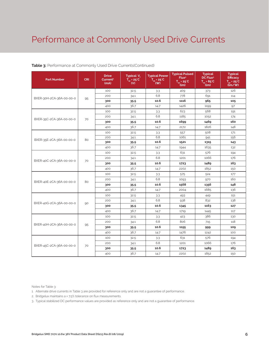## Performance at Commonly Used Drive Currents

| <b>Part Number</b>       | <b>CRI</b> | <b>Drive</b><br>Current <sup>1</sup><br>(mA) | Typical V.<br>$T_{\scriptscriptstyle \!\!\rm sn}$ = 25 $^\circ$ C<br>(V) | <b>Typical Power</b><br>$T_{\rm SD}$ = 25 $\rm ^{\circ}C$<br>(W) | <b>Typical Pulsed</b><br>Flux <sup>2</sup><br>$T_{\rm SD}$ = 25°C<br>(lm) | <b>Typical</b><br>DC Flux <sup>3</sup><br>$T_{\rm{on}}$ = 85°C<br>$(\mathsf{lm})$ | <b>Typical</b><br><b>Efficacy</b><br>$T_m = 25^{\circ}C$<br>$\lim$ /w |
|--------------------------|------------|----------------------------------------------|--------------------------------------------------------------------------|------------------------------------------------------------------|---------------------------------------------------------------------------|-----------------------------------------------------------------------------------|-----------------------------------------------------------------------|
|                          |            | 100                                          | 32.5                                                                     | 3.3                                                              | 409                                                                       | 373                                                                               | 126                                                                   |
| BXER-30H-2CA-36A-00-00-0 | 95         | 200                                          | 34.1                                                                     | 6.8                                                              | 778                                                                       | 691                                                                               | 114                                                                   |
|                          |            | 300                                          | 35.5                                                                     | 10.6                                                             | 1116                                                                      | 965                                                                               | 105                                                                   |
|                          |            | 400                                          | 36.7                                                                     | 14.7                                                             | 1426                                                                      | 1199                                                                              | 97                                                                    |
|                          |            | 100                                          | 32.5                                                                     | 3.3                                                              | 623                                                                       | 568                                                                               | 191                                                                   |
| BXER-35C-2CA-36A-00-00-0 | 70         | 200                                          | 34.1                                                                     | 6.8                                                              | 1185                                                                      | 1052                                                                              | 174                                                                   |
|                          |            | 300                                          | 35.5                                                                     | 10.6                                                             | 1699                                                                      | 1469                                                                              | 160                                                                   |
|                          |            | 400                                          | 36.7                                                                     | 14.7                                                             | 2172                                                                      | 1826                                                                              | 148                                                                   |
|                          |            | 100                                          | 32.5                                                                     | 3.3                                                              | 557                                                                       | 508                                                                               | 171                                                                   |
| BXER-35E-2CA-36A-00-00-0 | 80         | 200                                          | 34.1                                                                     | 6.8                                                              | 1061                                                                      | 941                                                                               | 156                                                                   |
|                          |            | 300                                          | 35.5                                                                     | 10.6                                                             | 1521                                                                      | 1315                                                                              | 143                                                                   |
|                          |            | 400                                          | 36.7                                                                     | 14.7                                                             | 1944                                                                      | 1635                                                                              | 132                                                                   |
|                          | 70         | 100                                          | 32.5                                                                     | 3.3                                                              | 631                                                                       | 576                                                                               | 194                                                                   |
| BXER-40C-2CA-36A-00-00-0 |            | 200                                          | 34.1                                                                     | 6.8                                                              | 1201                                                                      | 1066                                                                              | 176                                                                   |
|                          |            | 300                                          | 35.5                                                                     | 10.6                                                             | 1723                                                                      | 1489                                                                              | 163                                                                   |
|                          |            | 400                                          | 36.7                                                                     | 14.7                                                             | 2202                                                                      | 1852                                                                              | 150                                                                   |
|                          | 80         | 100                                          | 32.5                                                                     | 3.3                                                              | 575                                                                       | 524                                                                               | 177                                                                   |
|                          |            | 200                                          | 34.1                                                                     | 6.8                                                              | 1093                                                                      | 970                                                                               | 160                                                                   |
| BXER-40E-2CA-36A-00-00-0 |            | 300                                          | 35.5                                                                     | 10.6                                                             | 1568                                                                      | 1356                                                                              | 148                                                                   |
|                          |            | 400                                          | 36.7                                                                     | 14.7                                                             | 2004                                                                      | 1685                                                                              | 136                                                                   |
|                          |            | 100                                          | 32.5                                                                     | 3.3                                                              | 493                                                                       | 449                                                                               | 151                                                                   |
|                          |            | 200                                          | 34.1                                                                     | 6.8                                                              | 938                                                                       | 832                                                                               | 138                                                                   |
| BXER-40G-2CA-36A-00-00-0 | 90         | 300                                          | 35.5                                                                     | 10.6                                                             | 1345                                                                      | 1163                                                                              | 127                                                                   |
|                          |            | 400                                          | 36.7                                                                     | 14.7                                                             | 1719                                                                      | 1445                                                                              | 117                                                                   |
|                          |            | 100                                          | 32.5                                                                     | 3.3                                                              | 423                                                                       | 386                                                                               | 130                                                                   |
|                          |            | 200                                          | 34.1                                                                     | 6.8                                                              | 806                                                                       | 715                                                                               | 118                                                                   |
| BXER-40H-2CA-36A-00-00-0 | 95         | 300                                          | 35.5                                                                     | 10.6                                                             | 1155                                                                      | 999                                                                               | 109                                                                   |
|                          |            | 400                                          | 36.7                                                                     | 14.7                                                             | 1476                                                                      | 1242                                                                              | 100                                                                   |
|                          |            | 100                                          | 32.5                                                                     | 3.3                                                              | 631                                                                       | 576                                                                               | 194                                                                   |
|                          |            | 200                                          | 34.1                                                                     | 6.8                                                              | 1201                                                                      | 1066                                                                              | 176                                                                   |
| BXER-45C-2CA-36A-00-00-0 | 70         | 300                                          | 35.5                                                                     | 10.6                                                             | 1723                                                                      | 1489                                                                              | 163                                                                   |
|                          |            | 400                                          | 36.7                                                                     | 14.7                                                             | 2202                                                                      | 1852                                                                              | 150                                                                   |

#### **Table 3:** Performance at Commonly Used Drive Currents(Continued)

Notes for Table 3:

1. Alternate drive currents in Table 3 are provided for reference only and are not a guarantee of performance.

2. Bridgelux maintains a ± 7.5% tolerance on flux measurements.

3. Typical stabilized DC performance values are provided as reference only and are not a guarantee of performance.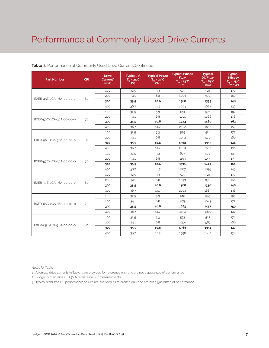## Performance at Commonly Used Drive Currents

| <b>Part Number</b>       | <b>CRI</b> | <b>Drive</b><br>Current <sup>1</sup><br>(mA) | Typical V <sub>c</sub><br>$T_{\rm so} = 25^{\circ}C$<br>(V) | <b>Typical Power</b><br>$T_{\rm SD}$ = 25°C<br>$($ W $)$ | <b>Typical Pulsed</b><br>Flux <sup>2</sup><br>$T_{\rm so} = 25^{\circ}C$<br>(lm) | <b>Typical</b><br>DC Flux <sup>3</sup><br>$\overline{T_{\rm SD}}$ = 85 <sup>°</sup> C<br>(lm) | <b>Typical</b><br><b>Efficacy</b><br>$T_{\dots}$ = 25°C<br>$\lim$ /w |
|--------------------------|------------|----------------------------------------------|-------------------------------------------------------------|----------------------------------------------------------|----------------------------------------------------------------------------------|-----------------------------------------------------------------------------------------------|----------------------------------------------------------------------|
|                          |            | 100                                          | 32.5                                                        | 3.3                                                      | 575                                                                              | 524                                                                                           | 177                                                                  |
| BXER-45E-2CA-36A-00-00-0 | 80         | 200                                          | 34.1                                                        | 6.8                                                      | 1093                                                                             | 970                                                                                           | 160                                                                  |
|                          |            | 300                                          | 35.5                                                        | 10.6                                                     | 1568                                                                             | 1355                                                                                          | 148                                                                  |
|                          |            | 400                                          | 36.7                                                        | 14.7                                                     | 2004                                                                             | 1685                                                                                          | 136                                                                  |
|                          |            | 100                                          | 32.5                                                        | 3.3                                                      | 631                                                                              | 576                                                                                           | 194                                                                  |
| BXER-50C-2CA-36A-00-00-0 | 70         | 200                                          | 34.1                                                        | 6.8                                                      | 1201                                                                             | 1066                                                                                          | 176                                                                  |
|                          |            | 300                                          | 35.5                                                        | 10.6                                                     | 1723                                                                             | 1489                                                                                          | 163                                                                  |
|                          |            | 400                                          | 36.7                                                        | 14.7                                                     | 2202                                                                             | 1852                                                                                          | 150                                                                  |
|                          |            | 100                                          | 32.5                                                        | 3.3                                                      | 575                                                                              | 524                                                                                           | 177                                                                  |
| BXER-50E-2CA-36A-00-00-0 | 80         | 200                                          | 34.1                                                        | 6.8                                                      | 1093                                                                             | 970                                                                                           | 160                                                                  |
|                          |            | 300                                          | 35.5                                                        | 10.6                                                     | 1568                                                                             | 1355                                                                                          | 148                                                                  |
|                          |            | 400                                          | 36.7                                                        | 14.7                                                     | 2004                                                                             | 1685                                                                                          | 136                                                                  |
|                          | 70         | 100                                          | 32.5                                                        | 3.3                                                      | 627                                                                              | 572                                                                                           | 193                                                                  |
| BXER-57C-2CA-36A-00-00-0 |            | 200                                          | 34.1                                                        | 6.8                                                      | 1193                                                                             | 1059                                                                                          | 175                                                                  |
|                          |            | 300                                          | 35.5                                                        | 10.6                                                     | 1711                                                                             | 1479                                                                                          | 161                                                                  |
|                          |            | 400                                          | 36.7                                                        | 14.7                                                     | 2187                                                                             | 1839                                                                                          | 149                                                                  |
|                          |            | 100                                          | 32.5                                                        | 3.3                                                      | 575                                                                              | 524                                                                                           | 177                                                                  |
|                          | 80         | 200                                          | 34.1                                                        | 6.8                                                      | 1093                                                                             | 970                                                                                           | 160                                                                  |
| BXER-57E-2CA-36A-00-00-0 |            | 300                                          | 35.5                                                        | 10.6                                                     | 1568                                                                             | 1356                                                                                          | 148                                                                  |
|                          |            | 400                                          | 36.7                                                        | 14.7                                                     | 2004                                                                             | 1685                                                                                          | 136                                                                  |
|                          |            | 100                                          | 32.5                                                        | 3.3                                                      | 618                                                                              | 563                                                                                           | 190                                                                  |
| BXER-65C-2CA-36A-00-00-0 |            | 200                                          | 34.1                                                        | 6.8                                                      | 1175                                                                             | 1043                                                                                          | 172                                                                  |
|                          | 70         | 300                                          | 35.5                                                        | 10.6                                                     | 1685                                                                             | 1457                                                                                          | 159                                                                  |
|                          |            | 400                                          | 36.7                                                        | 14.7                                                     | 2154                                                                             | 1811                                                                                          | 147                                                                  |
|                          |            | 100                                          | 32.5                                                        | 3.3                                                      | 573                                                                              | 522                                                                                           | 176                                                                  |
| BXER-65E-2CA-36A-00-00-0 | 80         | 200                                          | 34.1                                                        | 6.8                                                      | 1090                                                                             | 967                                                                                           | 160                                                                  |
|                          |            | 300                                          | 35.5                                                        | 10.6                                                     | 1563                                                                             | 1351                                                                                          | 147                                                                  |
|                          |            | 400                                          | 36.7                                                        | 14.7                                                     | 1998                                                                             | 1680                                                                                          | 136                                                                  |

#### **Table 3:** Performance at Commonly Used Drive Currents(Continued)

Notes for Table 3:

1. Alternate drive currents in Table 3 are provided for reference only and are not a guarantee of performance.

2. Bridgelux maintains a ± 7.5% tolerance on flux measurements.

3. Typical stabilized DC performance values are provided as reference only and are not a guarantee of performance.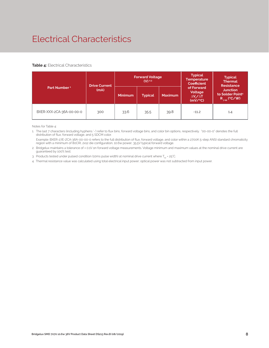# Electrical Characteristics

#### **Table 4:** Electrical Characteristics

|                          | <b>Drive Current</b> |                | <b>Forward Voltage</b><br>$(V)$ <sup>2.3</sup> |                | <b>Typical</b><br><b>Temperature</b><br><b>Coefficient</b> | <b>Typical</b><br><b>Thermal</b><br><b>Resistance</b>                |
|--------------------------|----------------------|----------------|------------------------------------------------|----------------|------------------------------------------------------------|----------------------------------------------------------------------|
| Part Number <sup>1</sup> | (mA)                 | <b>Minimum</b> | <b>Typical</b>                                 | <b>Maximum</b> | of Forward<br>Voltage<br>$\Delta V$ , $\Delta T$<br>(mV/C) | <b>Junction</b><br>to Solder Point <sup>4</sup><br>$R_{j-sp}$ (°C/W) |
| BXER-XXX-2CA-36A-00-00-0 | 300                  | 33.6           | 35.5                                           | 39.8           | $-11.2$                                                    | 1.4                                                                  |

Notes for Table 4:

1. The last 7 characters (including hyphens '-') refer to flux bins, forward voltage bins, and color bin options, respectively. "00-00-0" denotes the full distribution of flux, forward voltage, and 5 SDCM color.

 Example: BXER-27E-2CA-36A-00-00-0 refers to the full distribution of flux, forward voltage, and color within a 2700K 5-step ANSI standard chromaticity region with a minimum of 80CRI, 2x12 die configuration, 10.6w power, 35.5V typical forward voltage.

2. Bridgelux maintains a tolerance of ± 0.1V on forward voltage measurements. Voltage minimum and maximum values at the nominal drive current are guaranteed by 100% test.

3. Products tested under pulsed condition (10ms pulse width) at nominal drive current where  $T_{\text{sn}}$  = 25°C.

4. Thermal resistance value was calculated using total electrical input power; optical power was not subtracted from input power.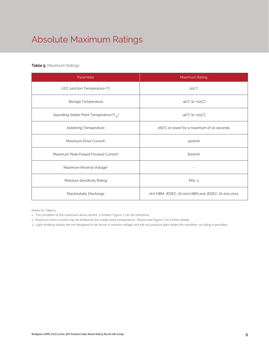# Absolute Maximum Ratings

#### **Table 5:** Maximum Ratings

| Parameter                                             | Maximum Rating                                  |
|-------------------------------------------------------|-------------------------------------------------|
| LED Junction Temperature $(T_i)$                      | $125^{\circ}$ C                                 |
| Storage Temperature                                   | $-40^{\circ}$ C to $+105^{\circ}$ C             |
| Operating Solder Point Temperature (T <sub>Sp</sub> ) | -40°C to +105°C                                 |
| <b>Soldering Temperature</b>                          | 260°C or lower for a maximum of 10 seconds      |
| Maximum Drive Current <sup>1</sup>                    | 400 <sub>m</sub> A                              |
| Maximum Peak Pulsed Forward Current <sup>2</sup>      | 600mA                                           |
| Maximum Reverse Voltage <sup>3</sup>                  | $\overline{a}$                                  |
| Moisture Sensitivity Rating                           | MSL <sub>3</sub>                                |
| Electrostatic Discharge                               | 2kV HBM. JEDEC-JS-001-HBM and JEDEC-JS-001-2012 |

Notes for Table 5:

- 1. The condition of the maximum drive current is limited, Figure 7 can be reference.
- 2. Maximum drive current may be limited by the solder point temperature. Please see Figure 7 for further details.

3. Light emitting diodes are not designed to be driven in reverse voltage and will not produce light under this condition, no rating is provided.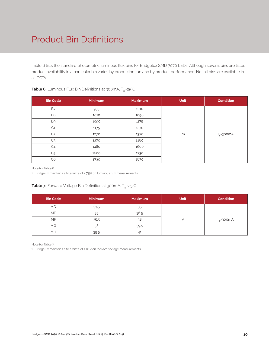# Product Bin Definitions

Table 6 lists the standard photometric luminous flux bins for Bridgelux SMD 7070 LEDs. Although several bins are listed, product availability in a particular bin varies by production run and by product performance. Not all bins are available in all CCTs.

| <b>Bin Code</b> | <b>Minimum</b> | <b>Maximum</b> | <b>Unit</b> | <b>Condition</b> |
|-----------------|----------------|----------------|-------------|------------------|
| <b>B7</b>       | 935            | 1010           |             |                  |
| B <sub>8</sub>  | 1010           | 1090           |             |                  |
| B <sub>9</sub>  | 1090           | 1175           |             |                  |
| C <sub>1</sub>  | 1175           | 1270           |             |                  |
| C <sub>2</sub>  | 1270           | 1370           | lm          | $I_{F} = 300mA$  |
| C <sub>3</sub>  | 1370           | 1480           |             |                  |
| C <sub>4</sub>  | 1480           | 1600           |             |                  |
| C <sub>5</sub>  | 1600           | 1730           |             |                  |
| C <sub>6</sub>  | 1730           | 1870           |             |                  |

#### **Table 6:** Luminous Flux Bin Definitions at 300mA, T<sub>sp</sub>=25°C

Note for Table 6:

1. Bridgelux maintains a tolerance of  $\pm$  7.5% on luminous flux measurements.

#### **Table 7:** Forward Voltage Bin Definition at 300mA, T<sub>sp</sub>=25°C

| <b>Bin Code</b> | <b>Minimum</b> | <b>Maximum</b> | <b>Unit</b> | <b>Condition</b> |
|-----------------|----------------|----------------|-------------|------------------|
| <b>MD</b>       | 33.5           | 35             |             |                  |
| <b>ME</b>       | 35             | 36.5           |             |                  |
| <b>MF</b>       | 36.5           | 38             |             | $I_{E}$ =300mA   |
| МG              | 38             | 39.5           |             |                  |
| MH              | 39.5           | 41             |             |                  |

Note for Table 7:

1. Bridgelux maintains a tolerance of ± 0.1V on forward voltage measurements.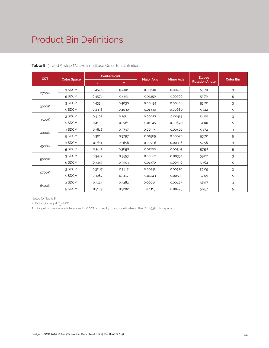## Product Bin Definitions

| <b>CCT</b> | <b>Color Space</b> | <b>Center Point</b> |        |                   |                   | <b>Ellipse</b>        |                  |
|------------|--------------------|---------------------|--------|-------------------|-------------------|-----------------------|------------------|
|            |                    | $\mathsf{x}$        | Y      | <b>Major Axis</b> | <b>Minor Axis</b> | <b>Rotation Angle</b> | <b>Color Bin</b> |
| 2700K      | 3 SDCM             | 0.4578              | 0.4101 | 0.00810           | 0.00420           | 53.70                 | 3                |
|            | 5 SDCM             | 0.4578              | 0.4101 | 0.01350           | 0.00700           | 53.70                 | 5                |
| 3000K      | 3 SDCM             | 0.4338              | 0.4030 | 0.00834           | 0.00408           | 53.22                 | 3                |
|            | 5 SDCM             | 0.4338              | 0.4030 | 0.01390           | 0.00680           | 53.22                 | 5                |
| 3500K      | 3 SDCM             | 0.4103              | 0.3961 | 0.00927           | 0.00414           | 54.00                 | 3                |
|            | 5 SDCM             | 0.4103              | 0.3961 | 0.01545           | 0.00690           | 54.00                 | 5                |
| 4000K      | 3 SDCM             | 0.3818              | 0.3797 | 0.00939           | 0.00402           | 53.72                 | 3                |
|            | 5 SDCM             | 0.3818              | 0.3797 | 0.01565           | 0.00670           | 53.72                 | 5                |
| 4500K      | 3 SDCM             | 0.3611              | 0.3658 | 0.00756           | 0.00338           | 57.58                 | 3                |
|            | 5 SDCM             | 0.3611              | 0.3658 | 0.01260           | 0.00563           | 57.58                 | 5                |
| 5000K      | 3 SDCM             | 0.3447              | 0.3553 | 0.00822           | 0.00354           | 59.62                 | 3                |
|            | 5 SDCM             | 0.3447              | 0.3553 | 0.01370           | 0.00590           | 59.62                 | 5                |
| 5700K      | 3 SDCM             | 0.3287              | 0.3417 | 0.00746           | 0.00320           | 59.09                 | 3                |
|            | 5 SDCM             | 0.3287              | 0.3417 | 0.01243           | 0.00533           | 59.09                 | 5                |
| 6500K      | 3 SDCM             | 0.3123              | 0.3282 | 0.00669           | 0.00285           | 58.57                 | 3                |
|            | 5 SDCM             | 0.3123              | 0.3282 | 0.01115           | 0.00475           | 58.57                 | 5                |

**Table 8:** 3- and 5-step MacAdam Ellipse Color Bin Definitions

Notes for Table 8:

1. Color binning at  $T_{\rm so}$ =85°C

2. Bridgelux maintains a tolerance of ± 0.007 on x and y color coordinates in the CIE 1931 color space.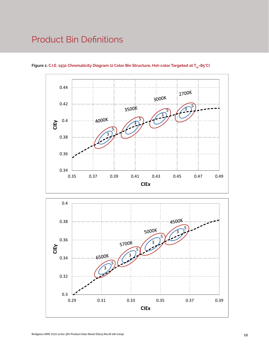## Product Bin Definitions



Figure 1: C.I.E. 1931 Chromaticity Diagram (2 Color Bin Structure, Hot-color Targeted at T<sub>sp</sub>=85°C)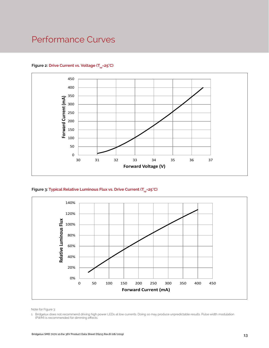## Performance Curves



#### Figure 2: Drive Current vs. Voltage (T<sub>SD</sub>=25°C)





Note for Figure 3:

1. Bridgelux does not recommend driving high power LEDs at low currents. Doing so may produce unpredictable results. Pulse width modulation (PWM) is recommended for dimming effects.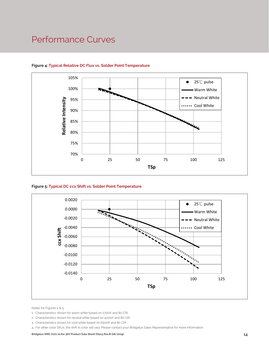## Performance Curves



#### **Figure 4: Typical Relative DC Flux vs. Solder Point Temperature**





Notes for Figures 4 & 5:

- 1. Characteristics shown for warm white based on 2700K and 80 CRI.
- 2. Characteristics shown for neutral white based on 4000K and 80 CRI.
- 3. Characteristics shown for cool white based on 6500K and 80 CRI.
- 4. For other color SKUs, the shift in color will vary. Please contact your Bridgelux Sales Representative for more information.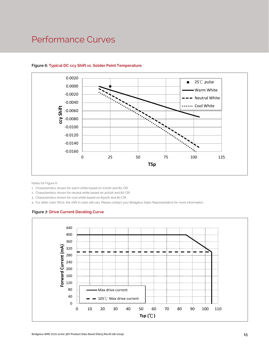## Performance Curves



#### **Figure 6: Typical DC ccy Shift vs. Solder Point Temperature**

Notes for Figure 6:

- 1. Characteristics shown for warm white based on 2700K and 80 CRI.
- 2. Characteristics shown for neutral white based on 4000K and 80 CRI.
- 3. Characteristics shown for cool white based on 6500K and 80 CRI.

4. For other color SKUs, the shift in color will vary. Please contact your Bridgelux Sales Representative for more information.

#### **Figure 7: Drive Current Derating Curve**

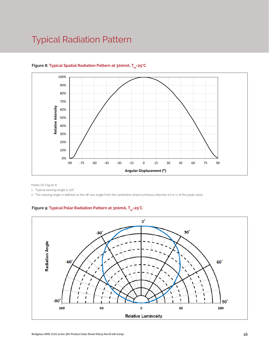## Typical Radiation Pattern



#### Figure 8: Typical Spatial Radiation Pattern at 300mA, T<sub>sp</sub>=25°C

Notes for Figure 8:

1. Typical viewing angle is 116°.

2. The viewing angle is defined as the off axis angle from the centerline where luminous intensity (Iv) is ½ of the peak value.

#### Figure 9: Typical Polar Radiation Pattern at 300mA, T<sub>sp</sub>=25°C

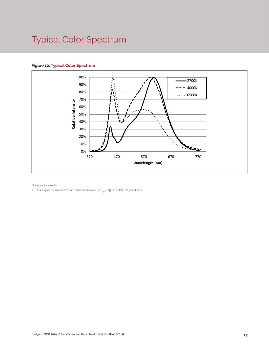# Typical Color Spectrum

#### **Figure 10: Typical Color Spectrum**



Note for Figure 10:

1. Color spectra measured at nominal current for  $T_{sp}$  = 25°C for 80 CRI products.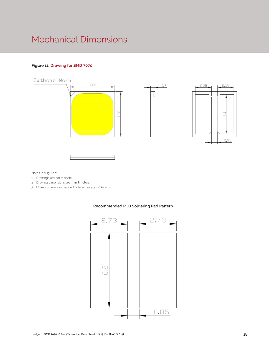## Mechanical Dimensions

#### **Figure 11: Drawing for SMD 7070**



Notes for Figure 11:

- 1. Drawings are not to scale.
- 2. Drawing dimensions are in millimeters.
- 3. Unless otherwise specified, tolerances are ± 0.10mm.



#### **Recommended PCB Soldering Pad Pattern**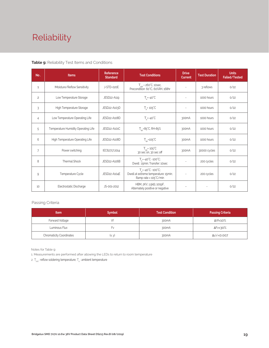# Reliability

#### **Table 9:** Reliability Test Items and Conditions

| No.            | <b>Items</b>                        | Reference<br><b>Standard</b> | <b>Test Conditions</b>                                                                                 | <b>Drive</b><br><b>Current</b> | <b>Test Duration</b> | <b>Units</b><br><b>Failed/Tested</b> |
|----------------|-------------------------------------|------------------------------|--------------------------------------------------------------------------------------------------------|--------------------------------|----------------------|--------------------------------------|
| $\mathbf{1}$   | Moisture/Reflow Sensitivity         | J-STD-020E                   | $T_{\text{cld}}$ = 260°C, 10sec,<br>Precondition: 60°C, 60%RH, 168hr                                   |                                | 3 reflows            | 0/22                                 |
| $\overline{c}$ | Low Temperature Storage             | JESD22-A119                  | $T_a = -40^{\circ}C$                                                                                   | $\overline{\phantom{a}}$       | 1000 hours           | 0/22                                 |
| 3              | High Temperature Storage            | JESD22-A103D                 | $T_a = 105^{\circ}C$                                                                                   | $\overline{a}$                 | 1000 hours           | 0/22                                 |
| $\overline{4}$ | Low Temperature Operating Life      | JESD22-A108D                 | $T_s = -40^{\circ}C$                                                                                   | 300mA                          | 1000 hours           | 0/22                                 |
| 5              | Temperature Humidity Operating Life | JESD22-A101C                 | $T_{SD} = 85^{\circ}$ C, RH=85%                                                                        | 300mA                          | 1000 hours           | 0/22                                 |
| 6              | High Temperature Operating Life     | JESD22-A108D                 | $T_{\rm SD}$ =105 $\degree$ C                                                                          | 300 <sub>m</sub> A             | 1000 hours           | 0/22                                 |
| 7              | Power switching                     | IEC62717:2014                | $T_{\rm SD}$ = 105 $\degree$ C<br>30 sec on, 30 sec off                                                | 300mA                          | 30000 cycles         | 0/22                                 |
| 8              | Thermal Shock                       | JESD22-A106B                 | $T_s = -40^{\circ}C \sim 100^{\circ}C$ ;<br>Dwell: 15min; Transfer: 10sec                              |                                | 200 cycles           | 0/22                                 |
| 9              | Temperature Cycle                   | JESD22-A104E                 | $T_a = -40^{\circ}C - 100^{\circ}C$ ;<br>Dwell at extreme temperature: 15min;<br>Ramp rate < 105°C/min |                                | 200 cycles           | 0/22                                 |
| 10             | Electrostatic Discharge             | JS-001-2012                  | HBM, 2KV, 1.5kΩ, 100pF,<br>Alternately positive or negative                                            |                                |                      | 0/22                                 |

#### Passing Criteria

| <b>Item</b>                     | <b>Symbol</b> | <b>Test Condition</b> | <b>Passing Criteria</b> |
|---------------------------------|---------------|-----------------------|-------------------------|
| Forward Voltage                 |               | 300mA                 | ΔVf<10%                 |
| Luminous Flux                   | ۲v            | 300mA                 | ΔFν<30%                 |
| <b>Chromaticity Coordinates</b> | (x, y)        | 300mA                 | Δu'v'<0.007             |

Notes for Table 9:

1. Measurements are performed after allowing the LEDs to return to room temperature

2.  $\mathsf{T}_{\mathsf{std}}$  : reflow soldering temperature;  $\mathsf{T}_{\mathsf{a}}$  : ambient temperature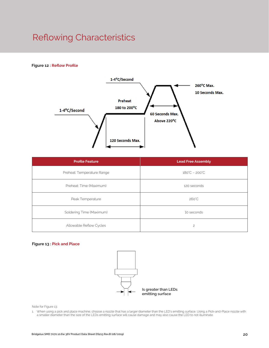# Reflowing Characteristics

#### **Figure 12 : Reflow Profile**



| <b>Profile Feature</b>     | <b>Lead Free Assembly</b>     |  |
|----------------------------|-------------------------------|--|
| Preheat: Temperature Range | $180^{\circ}C - 200^{\circ}C$ |  |
| Preheat: Time (Maximum)    | 120 seconds                   |  |
| Peak Temperature           | $260^{\circ}$ C               |  |
| Soldering Time (Maximum)   | 10 seconds                    |  |
| Allowable Reflow Cycles    | $\overline{c}$                |  |

#### **Figure 13 : Pick and Place**



Note for Figure 13:

1. When using a pick and place machine, choose a nozzle that has a larger diameter than the LED's emitting surface. Using a Pick-and-Place nozzle with a smaller diameter than the size of the LEDs emitting surface will cause damage and may also cause the LED to not illuminate.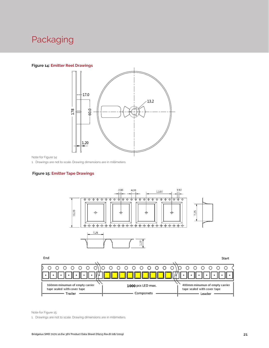## Packaging

#### **Figure 14: Emitter Reel Drawings**



Note for Figure 14:

1. Drawings are not to scale. Drawing dimensions are in millimeters.

#### **Figure 15: Emitter Tape Drawings**



End

Start



Note for Figure 15:

1. Drawings are not to scale. Drawing dimensions are in millimeters.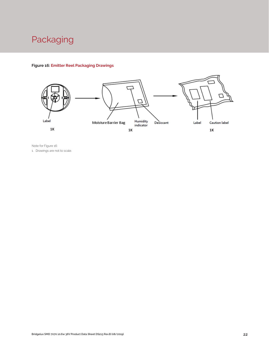

#### **Figure 16: Emitter Reel Packaging Drawings**



Note for Figure 16: 1. Drawings are not to scale.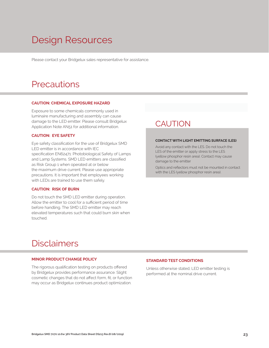# Design Resources

Please contact your Bridgelux sales representative for assistance.

## **Precautions**

#### **CAUTION: CHEMICAL EXPOSURE HAZARD**

Exposure to some chemicals commonly used in luminaire manufacturing and assembly can cause damage to the LED emitter. Please consult Bridgelux Application Note AN51 for additional information.

#### **CAUTION: EYE SAFETY**

Eye safety classification for the use of Bridgelux SMD LED emitter is in accordance with IEC specification EN62471: Photobiological Safety of Lamps and Lamp Systems. SMD LED emitters are classified as Risk Group 1 when operated at or below the maximum drive current. Please use appropriate precautions. It is important that employees working with LEDs are trained to use them safely.

#### **CAUTION: RISK OF BURN**

Do not touch the SMD LED emitter during operation. Allow the emitter to cool for a sufficient period of time before handling. The SMD LED emitter may reach elevated temperatures such that could burn skin when touched.

### **CAUTION**

#### **CONTACT WITH LIGHT EMITTING SURFACE (LES)**

Avoid any contact with the LES. Do not touch the LES of the emitter or apply stress to the LES (yellow phosphor resin area). Contact may cause damage to the emitter

Optics and reflectors must not be mounted in contact with the LES (yellow phosphor resin area).

## Disclaimers

#### **MINOR PRODUCT CHANGE POLICY**

The rigorous qualification testing on products offered by Bridgelux provides performance assurance. Slight cosmetic changes that do not affect form, fit, or function may occur as Bridgelux continues product optimization.

#### **STANDARD TEST CONDITIONS**

Unless otherwise stated, LED emitter testing is performed at the nominal drive current.